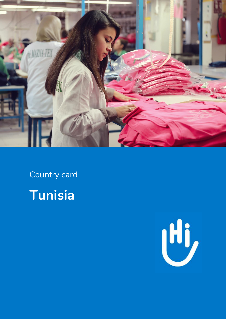

Country card **Tunisia**

![](_page_0_Picture_2.jpeg)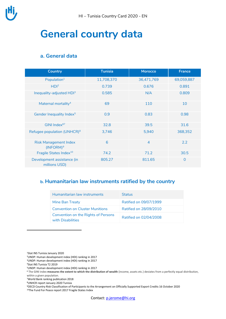![](_page_1_Picture_0.jpeg)

# **General country data**

### **a. General data**

| <b>Country</b>                               | Tunisia    | <b>Morocco</b> | <b>France</b>  |
|----------------------------------------------|------------|----------------|----------------|
| Population <sup>1</sup>                      | 11,708,370 | 36,471,769     | 69,059,887     |
| HDI <sup>2</sup>                             | 0.739      | 0.676          | 0.891          |
| Inequality-adjusted HDI <sup>3</sup>         | 0.585      | N/A            | 0.809          |
| Maternal mortality <sup>4</sup>              | 69         | 110            | 10             |
| Gender Inequality Index <sup>5</sup>         | 0.9        | 0.83           | 0.98           |
| GINI Index <sup>67</sup>                     | 32.8       | 39.5           | 31.6           |
| Refugee population (UNHCR) <sup>8</sup>      | 3,746      | 5,940          | 368,352        |
| <b>Risk Management Index</b><br>$(INFORM)^9$ | 6          | $\overline{4}$ | 2.2            |
| Fragile States Index <sup>10</sup>           | 74.2       | 71.2           | 30.5           |
| Development assistance (in<br>millions USD)  | 805.27     | 811.65         | $\overline{0}$ |

### **b. Humanitarian law instruments ratified by the country**

| Humanitarian law instruments                             | <b>Status</b>          |
|----------------------------------------------------------|------------------------|
| Mine Ban Treaty                                          | Ratified on 09/07/1999 |
| Convention on Cluster Munitions                          | Ratified on 28/09/2010 |
| Convention on the Rights of Persons<br>with Disabilities | Ratified on 02/04/2008 |

<sup>1</sup>Stat INS Tunisia January 2020

**.** 

<sup>2</sup>UNDP: Human development index (HDI) ranking in 2017

<sup>3</sup>UNDP: Human development index (HDI) ranking in 2017

<sup>4</sup>Stat INS Tunisia T2 2019

<sup>5</sup>UNDP: Human development index (HDI) ranking in 2017

<sup>6</sup> The GINI index **measures the extent to which the distribution of wealth** (income, assets etc.) deviates from a perfectly equal distribution, within a given population.

<sup>7</sup>World Bank ranking publication 2018

<sup>8</sup>UNHCR report January 2020 Tunisia

<sup>9</sup>OECD Country Risk Classification of Participants to the Arrangement on Officially Supported Export Credits 16 October 2020 10The Fund For Peace report 2017 Fragile States Index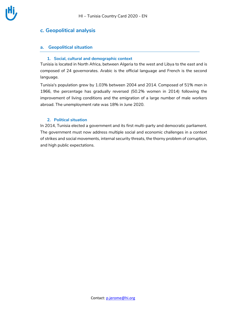### **c. Geopolitical analysis**

#### **a. Geopolitical situation**

#### **1. Social, cultural and demographic context**

Tunisia is located in North Africa, between Algeria to the west and Libya to the east and is composed of 24 governorates. Arabic is the official language and French is the second language.

Tunisia's population grew by 1.03% between 2004 and 2014. Composed of 51% men in 1966, the percentage has gradually reversed (50.2% women in 2014) following the improvement of living conditions and the emigration of a large number of male workers abroad. The unemployment rate was 18% in June 2020.

#### **2. Political situation**

In 2014, Tunisia elected a government and its first multi-party and democratic parliament. The government must now address multiple social and economic challenges in a context of strikes and social movements, internal security threats, the thorny problem of corruption, and high public expectations.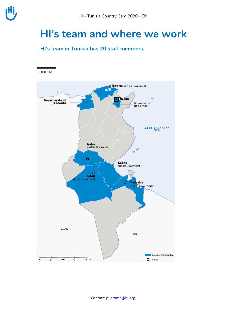### **HI's team and where we work**

**HI's team in Tunisia has 20 staff members.** 

![](_page_3_Figure_4.jpeg)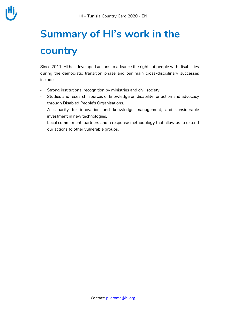# **Summary of HI's work in the country**

Since 2011, HI has developed actions to advance the rights of people with disabilities during the democratic transition phase and our main cross-disciplinary successes include:

- Strong institutional recognition by ministries and civil society
- Studies and research, sources of knowledge on disability for action and advocacy through Disabled People's Organisations.
- A capacity for innovation and knowledge management, and considerable investment in new technologies.
- Local commitment, partners and a response methodology that allow us to extend our actions to other vulnerable groups.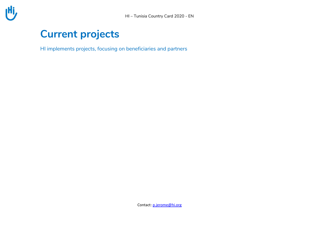![](_page_5_Picture_1.jpeg)

# **Current projects**

HI implements projects, focusing on beneficiaries and partners

Contact: [p.jerome@hi.org](mailto:p.jerome@hi.org)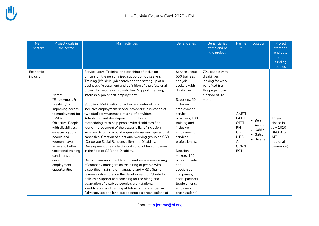| Main<br>sectors | Project goals in<br>the sector | Main activities                                           | <b>Beneficiaries</b> | <b>Beneficiaries</b><br>at the end of | Partne<br>rs | Location        | Project<br>start and |
|-----------------|--------------------------------|-----------------------------------------------------------|----------------------|---------------------------------------|--------------|-----------------|----------------------|
|                 |                                |                                                           |                      | the project                           |              |                 | end date             |
|                 |                                |                                                           |                      |                                       |              |                 | and                  |
|                 |                                |                                                           |                      |                                       |              |                 | funding              |
|                 |                                |                                                           |                      |                                       |              |                 | bodies               |
| Economic        |                                | Service users: Training and coaching of inclusion         | Service users:       | 791 people with                       |              |                 |                      |
| inclusion       |                                | officers on the personalised support of job seekers;      | 500 trainees         | disabilities                          |              |                 |                      |
|                 |                                | Training (life skills, job search and the setting up of a | and job              | looking for work                      |              |                 |                      |
|                 |                                | business); Assessment and definition of a professional    | seekers with         | benefited from                        |              |                 |                      |
|                 |                                | project for people with disabilities; Support (training,  | disabilities         | this project over                     |              |                 |                      |
|                 | Name:                          | internship, job or self-employment)                       |                      | a period of 37                        |              |                 |                      |
|                 | "Employment &                  |                                                           | Suppliers: 60        | months                                |              |                 |                      |
|                 | Disability" -                  | Suppliers: Mobilisation of actors and networking of       | inclusive            |                                       |              |                 |                      |
|                 | Improving access               | inclusive employment service providers; Publication of    | employment           |                                       |              |                 |                      |
|                 | to employment for              | two studies; Awareness-raising of providers;              | service              |                                       | <b>ANETI</b> |                 |                      |
|                 | <b>PWDs</b>                    | Adaptation and development of tools and                   | providers; 100       |                                       | <b>FATH</b>  | $\bullet$ Ben   | Project              |
|                 | Objective: People              | methodologies to help people with disabilities find       | training and         |                                       | <b>OTTD</b>  | Arous           | closed in            |
|                 | with disabilities,             | work; Improvement of the accessibility of inclusion       | inclusive            |                                       | PH           | • Gabès         | <b>July 2020</b>     |
|                 | especially young               | services; Actions to build organisational and operational | employment           |                                       | UGTT         | $\bullet$ Gafsa | <b>DROSOS</b>        |
|                 | people and                     | capacities; Creation of a national working group on CSR   | services             |                                       | <b>UTIC</b>  | • Bizerte       | <b>AFD</b>           |
|                 | women, have                    | (Corporate Social Responsibility) and Disability;         | professionals;       |                                       | A            |                 | (regional            |
|                 | access to better               | Development of a code of good conduct for companies       |                      |                                       | CONN         |                 | dimension)           |
|                 | vocational training            | in the field of CSR and Disability.                       | Decision-            |                                       | ECT          |                 |                      |
|                 | conditions and                 |                                                           | makers: 100          |                                       |              |                 |                      |
|                 | decent                         | Decision-makers: Identification and awareness-raising     | public, private      |                                       |              |                 |                      |
|                 | employment                     | of company managers on the hiring of people with          | and                  |                                       |              |                 |                      |
|                 | opportunities                  | disabilities; Training of managers and HRDs (human        | specialised          |                                       |              |                 |                      |
|                 |                                | resources directors) on the development of "disability    | companies;           |                                       |              |                 |                      |
|                 |                                | policies"; Support and coaching for the hiring and        | social partners      |                                       |              |                 |                      |
|                 |                                | adaptation of disabled people's workstations;             | (trade unions,       |                                       |              |                 |                      |
|                 |                                | Identification and training of tutors within companies.   | employers'           |                                       |              |                 |                      |
|                 |                                | Advocacy actions by disabled people's organisations at    | organisations);      |                                       |              |                 |                      |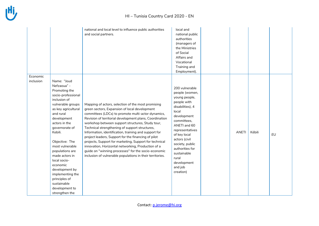#### HI – Tunisia C ountry Card 2020 - EN

|           |                                                                                                                                                                                                                                                                                                                                                                                                                         | national and local level to influence public authorities<br>and social partners.                                                                                                                                                                                                                                                                                                                                                                                                                                                                                                                                                                                               | local and<br>national public<br>authorities<br>(managers of<br>the Ministries<br>of Social<br>Affairs and<br>Vocational<br>Training and<br>Employment).                                                                                                                                              |              |        |    |
|-----------|-------------------------------------------------------------------------------------------------------------------------------------------------------------------------------------------------------------------------------------------------------------------------------------------------------------------------------------------------------------------------------------------------------------------------|--------------------------------------------------------------------------------------------------------------------------------------------------------------------------------------------------------------------------------------------------------------------------------------------------------------------------------------------------------------------------------------------------------------------------------------------------------------------------------------------------------------------------------------------------------------------------------------------------------------------------------------------------------------------------------|------------------------------------------------------------------------------------------------------------------------------------------------------------------------------------------------------------------------------------------------------------------------------------------------------|--------------|--------|----|
| Economic  |                                                                                                                                                                                                                                                                                                                                                                                                                         |                                                                                                                                                                                                                                                                                                                                                                                                                                                                                                                                                                                                                                                                                |                                                                                                                                                                                                                                                                                                      |              |        |    |
| inclusion | Name: "Joud<br>Nefzaoua" -<br>Promoting the<br>socio-professional<br>inclusion of<br>vulnerable groups<br>as key agricultural<br>and rural<br>development<br>actors in the<br>governorate of<br>Kebili.<br>Objective: The<br>most vulnerable<br>populations are<br>made actors in<br>local socio-<br>economic<br>development by<br>implementing the<br>principles of<br>sustainable<br>development to<br>strengthen the | Mapping of actors, selection of the most promising<br>green sectors, Expansion of local development<br>committees (LDCs) to promote multi-actor dynamics,<br>Revision of territorial development plans, Coordination<br>workshop between support structures, Study tour,<br>Technical strengthening of support structures,<br>Information, identification, training and support for<br>project leaders, Support for the financing of pilot<br>projects, Support for marketing, Support for technical<br>innovation, Horizontal networking, Production of a<br>guide on "winning processes" for the socio-economic<br>inclusion of vulnerable populations in their territories. | 200 vulnerable<br>people (women,<br>young people,<br>people with<br>disabilities), 4<br>local<br>development<br>committees,<br>ANETI and 60<br>representatives<br>of key local<br>actors (civil<br>society, public<br>authorities for<br>sustainable<br>rural<br>development<br>and job<br>creation) | <b>ANETI</b> | Kébili | EU |

Contact: [p.jerome@hi.org](mailto:p.jerome@hi.org)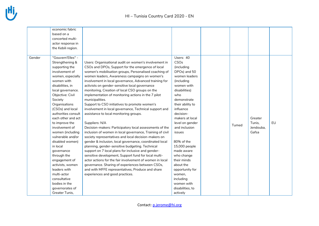|        | economic fabric     |                                                           |                  |       |           |    |
|--------|---------------------|-----------------------------------------------------------|------------------|-------|-----------|----|
|        | based on a          |                                                           |                  |       |           |    |
|        | concerted multi-    |                                                           |                  |       |           |    |
|        | actor response in   |                                                           |                  |       |           |    |
|        | the Kebili region.  |                                                           |                  |       |           |    |
|        |                     |                                                           |                  |       |           |    |
| Gender | "Gouvern'Elles" -   |                                                           | Users: 40        |       |           |    |
|        | Strengthening &     | Users: Organisational audit on women's involvement in     | CSOs             |       |           |    |
|        | supporting the      | CSOs and DPOs, Support for the emergence of local         | (including       |       |           |    |
|        | involvement of      | women's mobilisation groups, Personalised coaching of     | DPOs) and 50     |       |           |    |
|        | women, especially   | women leaders, Awareness campaigns on women's             | women leaders    |       |           |    |
|        | women with          | involvement in local governance, Advanced training for    | (including       |       |           |    |
|        | disabilities, in    | activists on gender-sensitive local governance            | women with       |       |           |    |
|        | local governance.   | monitoring, Creation of local CSO groups on the           | disabilities)    |       |           |    |
|        | Objective: Civil    | implementation of monitoring actions in the 7 pilot       | who              |       |           |    |
|        | Society             | municipalities.                                           | demonstrate      |       |           |    |
|        | Organisations       | Support to CSO initiatives to promote women's             | their ability to |       |           |    |
|        | (CSOs) and local    | involvement in local governance, Technical support and    | influence        |       |           |    |
|        | authorities consult | assistance to local monitoring groups.                    | decision-        |       |           |    |
|        | each other and act  |                                                           | makers at local  |       | Greater   |    |
|        | to improve the      | Suppliers: N/A                                            | level on gender  |       | Tunis.    | EU |
|        | involvement of      | Decision-makers: Participatory local assessments of the   | and inclusion    | Tumed | Jendouba, |    |
|        | women (including    | inclusion of women in local governance, Training of civil | issues           |       | Gafsa     |    |
|        | vulnerable and/or   | society representatives and local decision-makers on      |                  |       |           |    |
|        | disabled women)     | gender & inclusion, local governance, coordinated local   | 80% of the       |       |           |    |
|        | in local            | planning, gender-sensitive budgeting. Technical           | 15,000 people    |       |           |    |
|        | governance          | support on 7 local plans for inclusive and gender-        | made aware       |       |           |    |
|        | through the         | sensitive development, Support fund for local multi-      | who change       |       |           |    |
|        | engagement of       | actor actions for the fair involvement of women in local  | their minds      |       |           |    |
|        | activists, women    | governance. Sharing of experiences between CSOs,          | about the        |       |           |    |
|        | leaders with        | and with MFFE representatives, Produce and share          | opportunity for  |       |           |    |
|        | multi-actor         | experiences and good practices.                           | women,           |       |           |    |
|        | consultative        |                                                           | including        |       |           |    |
|        | bodies in the       |                                                           | women with       |       |           |    |
|        | governorates of     |                                                           | disabilities, to |       |           |    |
|        | Greater Tunis,      |                                                           | actively         |       |           |    |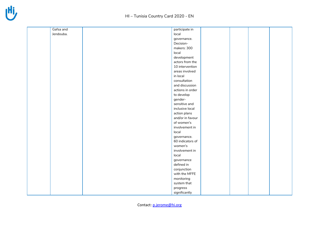| Gafsa and | participate in   |  |  |
|-----------|------------------|--|--|
| Jendouba. | local            |  |  |
|           | governance.      |  |  |
|           | Decision-        |  |  |
|           | makers: 300      |  |  |
|           | local            |  |  |
|           | development      |  |  |
|           | actors from the  |  |  |
|           | 10 intervention  |  |  |
|           | areas involved   |  |  |
|           | in local         |  |  |
|           | consultation     |  |  |
|           | and discussion   |  |  |
|           | actions in order |  |  |
|           | to develop       |  |  |
|           | gender-          |  |  |
|           | sensitive and    |  |  |
|           | inclusive local  |  |  |
|           | action plans     |  |  |
|           | and/or in favour |  |  |
|           | of women's       |  |  |
|           | involvement in   |  |  |
|           | local            |  |  |
|           | governance.      |  |  |
|           | 60 indicators of |  |  |
|           | women's          |  |  |
|           | involvement in   |  |  |
|           | local            |  |  |
|           | governance       |  |  |
|           | defined in       |  |  |
|           | conjunction      |  |  |
|           | with the MFFE    |  |  |
|           | monitoring       |  |  |
|           | system that      |  |  |
|           | progress         |  |  |
|           | significantly    |  |  |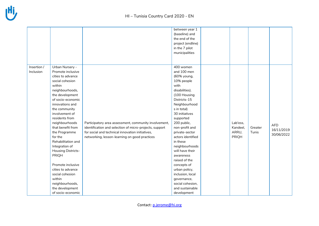|             |                    |                                                         | between year 1    |          |         |            |
|-------------|--------------------|---------------------------------------------------------|-------------------|----------|---------|------------|
|             |                    |                                                         |                   |          |         |            |
|             |                    |                                                         | (baseline) and    |          |         |            |
|             |                    |                                                         | the end of the    |          |         |            |
|             |                    |                                                         | project (endline) |          |         |            |
|             |                    |                                                         | in the 7 pilot    |          |         |            |
|             |                    |                                                         | municipalities    |          |         |            |
|             |                    |                                                         |                   |          |         |            |
| Insertion / | Urban Nursery -    |                                                         | 400 women         |          |         |            |
| Inclusion   | Promote inclusive  |                                                         | and 100 men       |          |         |            |
|             | cities to advance  |                                                         | (60% young,       |          |         |            |
|             | social cohesion    |                                                         | 10% people        |          |         |            |
|             | within             |                                                         | with              |          |         |            |
|             | neighbourhoods,    |                                                         | disabilities).    |          |         |            |
|             | the development    |                                                         | (100 Housing      |          |         |            |
|             | of socio-economic  |                                                         | Districts-15      |          |         |            |
|             | innovations and    |                                                         | Neighbourhood     |          |         |            |
|             | the community      |                                                         | s in total)       |          |         |            |
|             | involvement of     |                                                         | 30 initiatives    |          |         |            |
|             | residents from     |                                                         | supported         |          |         |            |
|             | neighbourhoods     | Participatory area assessment, community involvement,   | 200 public,       | Lab'ess, |         |            |
|             | that benefit from  | identification and selection of micro-projects, support | non-profit and    | Kandeel, | Greater | <b>AFD</b> |
|             | the Programme      | for social and technical innovation initiatives,        | private-sector    | ARRU,    | Tunis   | 16/11/2019 |
|             | for the            | networking, lesson-learning on good practices           | actors identified | PRIQH    |         | 30/06/2022 |
|             | Rehabilitation and |                                                         | in these          |          |         |            |
|             | Integration of     |                                                         | neighbourhoods    |          |         |            |
|             | Housing Districts- |                                                         | will have their   |          |         |            |
|             | PRIQH              |                                                         | awareness         |          |         |            |
|             |                    |                                                         | raised of the     |          |         |            |
|             | Promote inclusive  |                                                         | concepts of       |          |         |            |
|             | cities to advance  |                                                         | urban policy,     |          |         |            |
|             | social cohesion    |                                                         | inclusion, local  |          |         |            |
|             | within             |                                                         | governance,       |          |         |            |
|             | neighbourhoods,    |                                                         | social cohesion,  |          |         |            |
|             | the development    |                                                         | and sustainable   |          |         |            |
|             | of socio-economic  |                                                         | development       |          |         |            |

Contact: [p.jerome@hi.org](mailto:p.jerome@hi.org)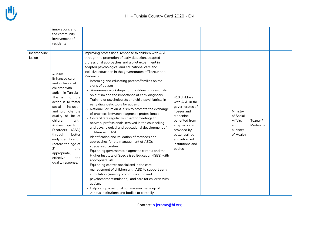|                         | innovations and<br>the community<br>involvement of<br>residents                                                                                                                                                                                                                                                                                                                                         |                                                                                                                                                                                                                                                                                                                                                                                                                                                                                                                                                                                                                                                                                                                                                                                                                                                                                                                                                                                                                                                                                                                                                                                                                                                                                                                                                                                                                                             |                                                                                                                                                                                               |                                                                  |                     |  |
|-------------------------|---------------------------------------------------------------------------------------------------------------------------------------------------------------------------------------------------------------------------------------------------------------------------------------------------------------------------------------------------------------------------------------------------------|---------------------------------------------------------------------------------------------------------------------------------------------------------------------------------------------------------------------------------------------------------------------------------------------------------------------------------------------------------------------------------------------------------------------------------------------------------------------------------------------------------------------------------------------------------------------------------------------------------------------------------------------------------------------------------------------------------------------------------------------------------------------------------------------------------------------------------------------------------------------------------------------------------------------------------------------------------------------------------------------------------------------------------------------------------------------------------------------------------------------------------------------------------------------------------------------------------------------------------------------------------------------------------------------------------------------------------------------------------------------------------------------------------------------------------------------|-----------------------------------------------------------------------------------------------------------------------------------------------------------------------------------------------|------------------------------------------------------------------|---------------------|--|
| Insertion/Inc<br>lusion | Autism<br>Enhanced care<br>and inclusion of<br>children with<br>autism in Tunisia<br>The aim of the<br>action is to foster<br>inclusion<br>social<br>and promote the<br>quality of life of<br>children<br>with<br>Autism Spectrum<br>(ASD)<br><b>Disorders</b><br>through<br>better<br>early identification<br>(before the age of<br>3)<br>and<br>appropriate,<br>effective<br>and<br>quality response. | Improving professional response to children with ASD<br>through the promotion of early detection, adapted<br>professional approaches and a pilot experiment in<br>adapted psychological and educational care and<br>inclusive education in the governorates of Tozeur and<br>Médenine.<br>- Informing and educating parents/families on the<br>signs of autism<br>- Awareness workshops for front-line professionals<br>on autism and the importance of early diagnosis<br>- Training of psychologists and child psychiatrists in<br>early diagnostic tools for autism.<br>- National Forum on Autism to promote the exchange<br>of practices between diagnostic professionals<br>- Co-facilitate regular multi-actor meetings to<br>network professionals involved in the counselling<br>and psychological and educational development of<br>children with ASD.<br>- Identification and validation of methods and<br>approaches for the management of ASDs in<br>specialised centres<br>- Equipping governorate diagnostic centres and the<br>Higher Institute of Specialised Education (ISES) with<br>appropriate kits<br>- Equipping centres specialised in the care<br>management of children with ASD to support early<br>stimulation (sensory, communication and<br>psychomotor stimulation), and care for children with<br>autism.<br>- Help set up a national commission made up of<br>various institutions and bodies to centrally | 410 children<br>with ASD in the<br>governorates of<br>Tozeur and<br>Médenine<br>benefited from<br>adapted care<br>provided by<br>better trained<br>and informed<br>institutions and<br>bodies | Ministry<br>of Social<br>Affairs<br>and<br>Ministry<br>of Health | Tozeur/<br>Medenine |  |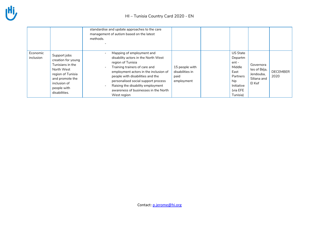|                       |                                                                                                                                                              | standardise and update approaches to the care<br>management of autism based on the latest<br>methods.                                                                                                                                                                                                                                  |                                                         |                                                                                                               |                                                                 |                         |
|-----------------------|--------------------------------------------------------------------------------------------------------------------------------------------------------------|----------------------------------------------------------------------------------------------------------------------------------------------------------------------------------------------------------------------------------------------------------------------------------------------------------------------------------------|---------------------------------------------------------|---------------------------------------------------------------------------------------------------------------|-----------------------------------------------------------------|-------------------------|
| Economic<br>inclusion | Support jobs<br>creation for young<br>Tunisians in the<br>North West<br>region of Tunisia<br>and promote the<br>inclusion of<br>people with<br>disabilities. | Mapping of employment and<br>disability actors in the North West<br>region of Tunisia<br>Training trainers of care and<br>employment actors in the inclusion of<br>people with disabilities and the<br>personalised social support process<br>Raising the disability employment<br>awareness of businesses in the North<br>West region | 15 people with<br>disabilities in<br>paid<br>employment | <b>US State</b><br>Departm<br>ent-<br>Middle<br>East<br>Partners<br>hip<br>Initiative<br>(via EFE<br>Tunisia) | Governora<br>tes of Béja,<br>Jendouba,<br>Siliana and<br>El Kef | <b>DECEMBER</b><br>2020 |